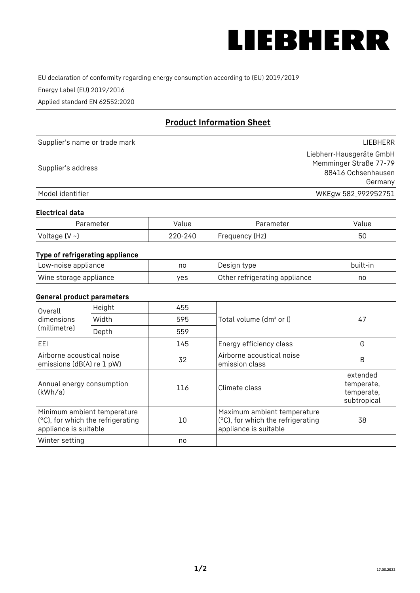

EU declaration of conformity regarding energy consumption according to (EU) 2019/2019

Energy Label (EU) 2019/2016

Applied standard EN 62552:2020

# **Product Information Sheet**

| Supplier's name or trade mark | LIEBHERR                 |
|-------------------------------|--------------------------|
|                               | Liebherr-Hausgeräte GmbH |
| Supplier's address            | Memminger Straße 77-79   |
|                               | 88416 Ochsenhausen       |
|                               | Germany                  |
| Model identifier              | WKEgw 582_992952751      |

#### **Electrical data**

| Parameter     | Value   | Parameter      | Value |
|---------------|---------|----------------|-------|
| Voltage (V ~) | 220-240 | Frequency (Hz) | 50    |

# **Type of refrigerating appliance**

| Low-noise appliance    | no  | Design type                   | built-in |
|------------------------|-----|-------------------------------|----------|
| Wine storage appliance | ves | Other refrigerating appliance | nc       |

#### **General product parameters**

| Height<br>Overall<br>dimensions<br>Width<br>(millimetre)<br>Depth |                                                                  | 455 |                                                                                           | 47                                                  |
|-------------------------------------------------------------------|------------------------------------------------------------------|-----|-------------------------------------------------------------------------------------------|-----------------------------------------------------|
|                                                                   |                                                                  | 595 | Total volume (dm <sup>3</sup> or l)                                                       |                                                     |
|                                                                   |                                                                  | 559 |                                                                                           |                                                     |
| EEL                                                               |                                                                  | 145 | Energy efficiency class                                                                   | G                                                   |
| Airborne acoustical noise<br>emissions (dB(A) re 1 pW)            |                                                                  | 32  | Airborne acoustical noise<br>emission class                                               | B                                                   |
| Annual energy consumption<br>(kWh/a)                              |                                                                  | 116 | Climate class                                                                             | extended<br>temperate,<br>temperate,<br>subtropical |
| appliance is suitable                                             | Minimum ambient temperature<br>(°C), for which the refrigerating | 10  | Maximum ambient temperature<br>(°C), for which the refrigerating<br>appliance is suitable | 38                                                  |
| Winter setting                                                    |                                                                  | no  |                                                                                           |                                                     |